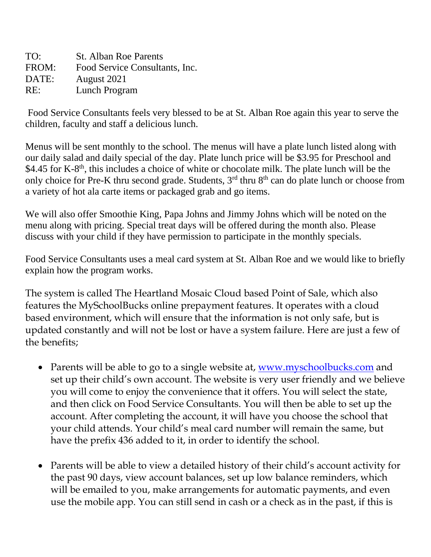TO: St. Alban Roe Parents FROM: Food Service Consultants, Inc. DATE: August 2021 RE: Lunch Program

Food Service Consultants feels very blessed to be at St. Alban Roe again this year to serve the children, faculty and staff a delicious lunch.

Menus will be sent monthly to the school. The menus will have a plate lunch listed along with our daily salad and daily special of the day. Plate lunch price will be \$3.95 for Preschool and \$4.45 for K-8<sup>th</sup>, this includes a choice of white or chocolate milk. The plate lunch will be the only choice for Pre-K thru second grade. Students, 3<sup>rd</sup> thru 8<sup>th</sup> can do plate lunch or choose from a variety of hot ala carte items or packaged grab and go items.

We will also offer Smoothie King, Papa Johns and Jimmy Johns which will be noted on the menu along with pricing. Special treat days will be offered during the month also. Please discuss with your child if they have permission to participate in the monthly specials.

Food Service Consultants uses a meal card system at St. Alban Roe and we would like to briefly explain how the program works.

The system is called The Heartland Mosaic Cloud based Point of Sale, which also features the MySchoolBucks online prepayment features. It operates with a cloud based environment, which will ensure that the information is not only safe, but is updated constantly and will not be lost or have a system failure. Here are just a few of the benefits;

- Parents will be able to go to a single website at, [www.myschoolbucks.com](http://www.myschoolbucks.com/) and set up their child's own account. The website is very user friendly and we believe you will come to enjoy the convenience that it offers. You will select the state, and then click on Food Service Consultants. You will then be able to set up the account. After completing the account, it will have you choose the school that your child attends. Your child's meal card number will remain the same, but have the prefix 436 added to it, in order to identify the school.
- Parents will be able to view a detailed history of their child's account activity for the past 90 days, view account balances, set up low balance reminders, which will be emailed to you, make arrangements for automatic payments, and even use the mobile app. You can still send in cash or a check as in the past, if this is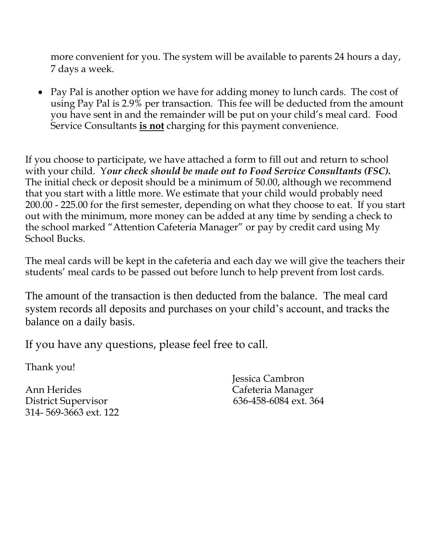more convenient for you. The system will be available to parents 24 hours a day, 7 days a week.

• Pay Pal is another option we have for adding money to lunch cards. The cost of using Pay Pal is 2.9% per transaction. This fee will be deducted from the amount you have sent in and the remainder will be put on your child's meal card. Food Service Consultants **is not** charging for this payment convenience.

If you choose to participate, we have attached a form to fill out and return to school with your child. Y*our check should be made out to Food Service Consultants (FSC).*  The initial check or deposit should be a minimum of 50.00, although we recommend that you start with a little more. We estimate that your child would probably need 200.00 - 225.00 for the first semester, depending on what they choose to eat. If you start out with the minimum, more money can be added at any time by sending a check to the school marked "Attention Cafeteria Manager" or pay by credit card using My School Bucks.

The meal cards will be kept in the cafeteria and each day we will give the teachers their students' meal cards to be passed out before lunch to help prevent from lost cards.

The amount of the transaction is then deducted from the balance. The meal card system records all deposits and purchases on your child's account, and tracks the balance on a daily basis.

If you have any questions, please feel free to call.

Thank you!

Ann Herides Cafeteria Manager District Supervisor 636-458-6084 ext. 364 314- 569-3663 ext. 122

Jessica Cambron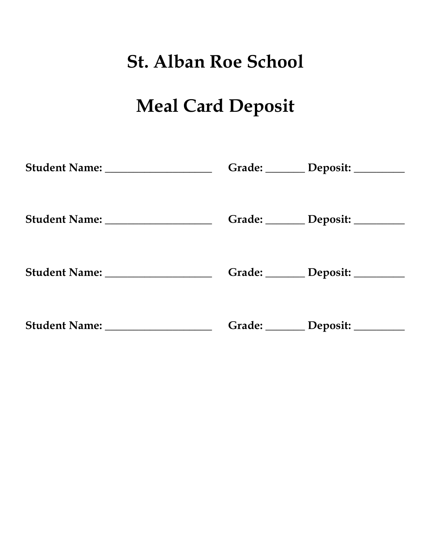# **St. Alban Roe School**

# **Meal Card Deposit**

|                                   | Grade: Deposit: ______ |
|-----------------------------------|------------------------|
|                                   | Grade: Deposit: ______ |
| Student Name: ___________________ | Grade: Deposit: ______ |
| Student Name: ___________________ | Grade: Deposit: ______ |